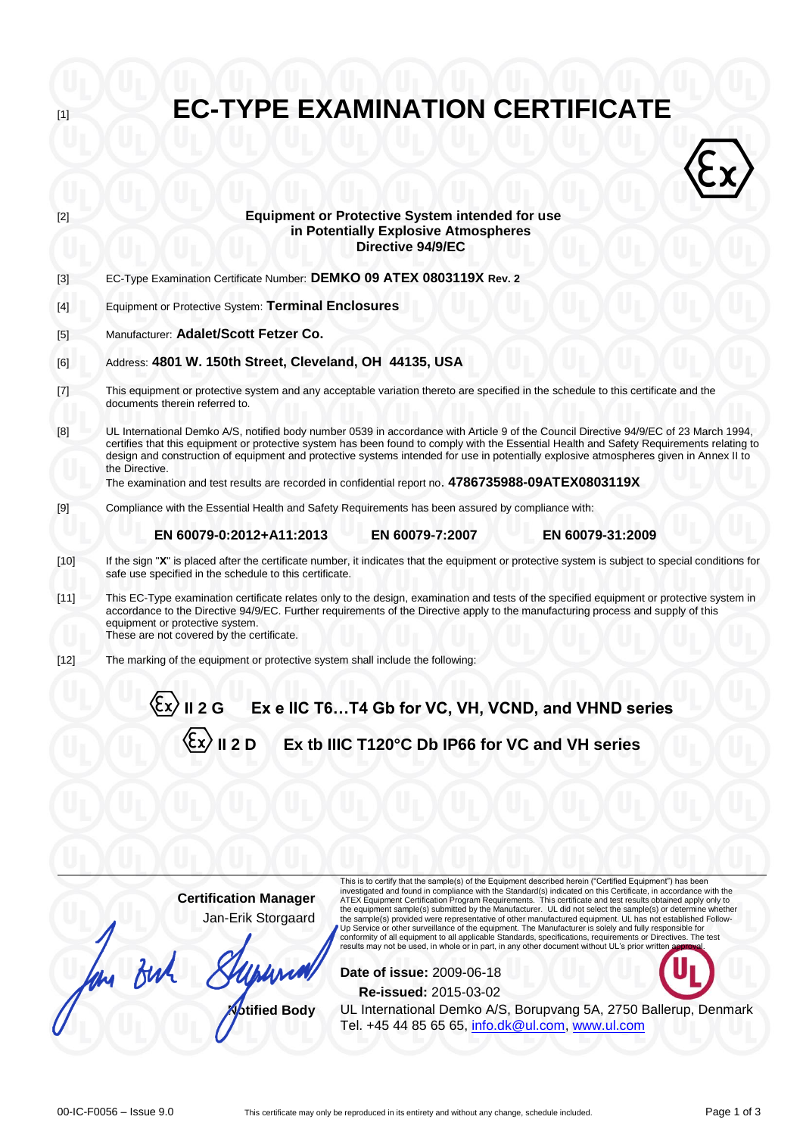| $[2]$                                                                                                                                                                                                                                                                                                                                                                                                                                                                                                  | <b>Equipment or Protective System intended for use</b><br>in Potentially Explosive Atmospheres<br>Directive 94/9/EC                                                                                                                                                                                                                                                                                                                                                                                                                                                                                                                                                                                                                                                                                                                             |  |  |  |  |  |  |
|--------------------------------------------------------------------------------------------------------------------------------------------------------------------------------------------------------------------------------------------------------------------------------------------------------------------------------------------------------------------------------------------------------------------------------------------------------------------------------------------------------|-------------------------------------------------------------------------------------------------------------------------------------------------------------------------------------------------------------------------------------------------------------------------------------------------------------------------------------------------------------------------------------------------------------------------------------------------------------------------------------------------------------------------------------------------------------------------------------------------------------------------------------------------------------------------------------------------------------------------------------------------------------------------------------------------------------------------------------------------|--|--|--|--|--|--|
| $[3]$                                                                                                                                                                                                                                                                                                                                                                                                                                                                                                  | EC-Type Examination Certificate Number: DEMKO 09 ATEX 0803119X Rev. 2                                                                                                                                                                                                                                                                                                                                                                                                                                                                                                                                                                                                                                                                                                                                                                           |  |  |  |  |  |  |
| $[4]$                                                                                                                                                                                                                                                                                                                                                                                                                                                                                                  | Equipment or Protective System: Terminal Enclosures                                                                                                                                                                                                                                                                                                                                                                                                                                                                                                                                                                                                                                                                                                                                                                                             |  |  |  |  |  |  |
| $[5]$                                                                                                                                                                                                                                                                                                                                                                                                                                                                                                  | Manufacturer: Adalet/Scott Fetzer Co.                                                                                                                                                                                                                                                                                                                                                                                                                                                                                                                                                                                                                                                                                                                                                                                                           |  |  |  |  |  |  |
| [6]                                                                                                                                                                                                                                                                                                                                                                                                                                                                                                    | Address: 4801 W. 150th Street, Cleveland, OH 44135, USA                                                                                                                                                                                                                                                                                                                                                                                                                                                                                                                                                                                                                                                                                                                                                                                         |  |  |  |  |  |  |
| $[7] \centering% \includegraphics[width=1\textwidth]{images/TransY.pdf} \caption{The first two different values of $d=3$ and $d=1$ (left) and $d=1$ (right) and $d=1$ (right) and $d=1$ (right) and $d=1$ (right) and $d=1$ (right) and $d=1$ (right) and $d=1$ (right) and $d=1$ (right) and $d=1$ (right) and $d=1$ (right) and $d=1$ (right) and $d=1$ (right) and $d=1$ (right) and $d=1$ (right) and $d=1$ (right) and $d=1$ (right) and $d=1$ (right) and $d=1$ (right) and $d=1$ (right) and $$ | This equipment or protective system and any acceptable variation thereto are specified in the schedule to this certificate and the<br>documents therein referred to.                                                                                                                                                                                                                                                                                                                                                                                                                                                                                                                                                                                                                                                                            |  |  |  |  |  |  |
| [8]                                                                                                                                                                                                                                                                                                                                                                                                                                                                                                    | UL International Demko A/S, notified body number 0539 in accordance with Article 9 of the Council Directive 94/9/EC of 23 March 1994,<br>certifies that this equipment or protective system has been found to comply with the Essential Health and Safety Requirements relating to<br>design and construction of equipment and protective systems intended for use in potentially explosive atmospheres given in Annex II to<br>the Directive.<br>The examination and test results are recorded in confidential report no. 4786735988-09ATEX0803119X                                                                                                                                                                                                                                                                                            |  |  |  |  |  |  |
| $[9]$                                                                                                                                                                                                                                                                                                                                                                                                                                                                                                  | Compliance with the Essential Health and Safety Requirements has been assured by compliance with:                                                                                                                                                                                                                                                                                                                                                                                                                                                                                                                                                                                                                                                                                                                                               |  |  |  |  |  |  |
|                                                                                                                                                                                                                                                                                                                                                                                                                                                                                                        | EN 60079-7:2007<br>EN 60079-0:2012+A11:2013<br>EN 60079-31:2009                                                                                                                                                                                                                                                                                                                                                                                                                                                                                                                                                                                                                                                                                                                                                                                 |  |  |  |  |  |  |
| $[10]$                                                                                                                                                                                                                                                                                                                                                                                                                                                                                                 | If the sign "X" is placed after the certificate number, it indicates that the equipment or protective system is subject to special conditions for<br>safe use specified in the schedule to this certificate.                                                                                                                                                                                                                                                                                                                                                                                                                                                                                                                                                                                                                                    |  |  |  |  |  |  |
| $[11]$                                                                                                                                                                                                                                                                                                                                                                                                                                                                                                 | This EC-Type examination certificate relates only to the design, examination and tests of the specified equipment or protective system in<br>accordance to the Directive 94/9/EC. Further requirements of the Directive apply to the manufacturing process and supply of this<br>equipment or protective system.<br>These are not covered by the certificate.                                                                                                                                                                                                                                                                                                                                                                                                                                                                                   |  |  |  |  |  |  |
| $[12]$                                                                                                                                                                                                                                                                                                                                                                                                                                                                                                 | The marking of the equipment or protective system shall include the following:                                                                                                                                                                                                                                                                                                                                                                                                                                                                                                                                                                                                                                                                                                                                                                  |  |  |  |  |  |  |
|                                                                                                                                                                                                                                                                                                                                                                                                                                                                                                        | $\langle \xi$ x $\rangle$ II 2 G Ex e IIC T6…T4 Gb for VC, VH, VCND, and VHND series                                                                                                                                                                                                                                                                                                                                                                                                                                                                                                                                                                                                                                                                                                                                                            |  |  |  |  |  |  |
|                                                                                                                                                                                                                                                                                                                                                                                                                                                                                                        | Ex tb IIIC T120°C Db IP66 for VC and VH series                                                                                                                                                                                                                                                                                                                                                                                                                                                                                                                                                                                                                                                                                                                                                                                                  |  |  |  |  |  |  |
|                                                                                                                                                                                                                                                                                                                                                                                                                                                                                                        |                                                                                                                                                                                                                                                                                                                                                                                                                                                                                                                                                                                                                                                                                                                                                                                                                                                 |  |  |  |  |  |  |
|                                                                                                                                                                                                                                                                                                                                                                                                                                                                                                        |                                                                                                                                                                                                                                                                                                                                                                                                                                                                                                                                                                                                                                                                                                                                                                                                                                                 |  |  |  |  |  |  |
|                                                                                                                                                                                                                                                                                                                                                                                                                                                                                                        | This is to certify that the sample(s) of the Equipment described herein ("Certified Equipment") has been                                                                                                                                                                                                                                                                                                                                                                                                                                                                                                                                                                                                                                                                                                                                        |  |  |  |  |  |  |
|                                                                                                                                                                                                                                                                                                                                                                                                                                                                                                        | investigated and found in compliance with the Standard(s) indicated on this Certificate, in accordance with the<br><b>Certification Manager</b><br>ATEX Equipment Certification Program Requirements. This certificate and test results obtained apply only to<br>the equipment sample(s) submitted by the Manufacturer. UL did not select the sample(s) or determine whether<br>Jan-Erik Storgaard<br>the sample(s) provided were representative of other manufactured equipment. UL has not established Follow-<br>Up Service or other surveillance of the equipment. The Manufacturer is solely and fully responsible for<br>conformity of all equipment to all applicable Standards, specifications, requirements or Directives. The test<br>results may not be used, in whole or in part, in any other document without UL's prior written |  |  |  |  |  |  |
|                                                                                                                                                                                                                                                                                                                                                                                                                                                                                                        | Date of issue: 2009-06-18                                                                                                                                                                                                                                                                                                                                                                                                                                                                                                                                                                                                                                                                                                                                                                                                                       |  |  |  |  |  |  |
|                                                                                                                                                                                                                                                                                                                                                                                                                                                                                                        | Re-issued: 2015-03-02                                                                                                                                                                                                                                                                                                                                                                                                                                                                                                                                                                                                                                                                                                                                                                                                                           |  |  |  |  |  |  |
|                                                                                                                                                                                                                                                                                                                                                                                                                                                                                                        | UL International Demko A/S, Borupvang 5A, 2750 Ballerup, Denmark<br><b><i><u><b>Otified Body</b></u></i></b><br>Tel. +45 44 85 65 65, info.dk@ul.com, www.ul.com                                                                                                                                                                                                                                                                                                                                                                                                                                                                                                                                                                                                                                                                                |  |  |  |  |  |  |
|                                                                                                                                                                                                                                                                                                                                                                                                                                                                                                        |                                                                                                                                                                                                                                                                                                                                                                                                                                                                                                                                                                                                                                                                                                                                                                                                                                                 |  |  |  |  |  |  |

**EC-TYPE EXAMINATION CERTIFICATE**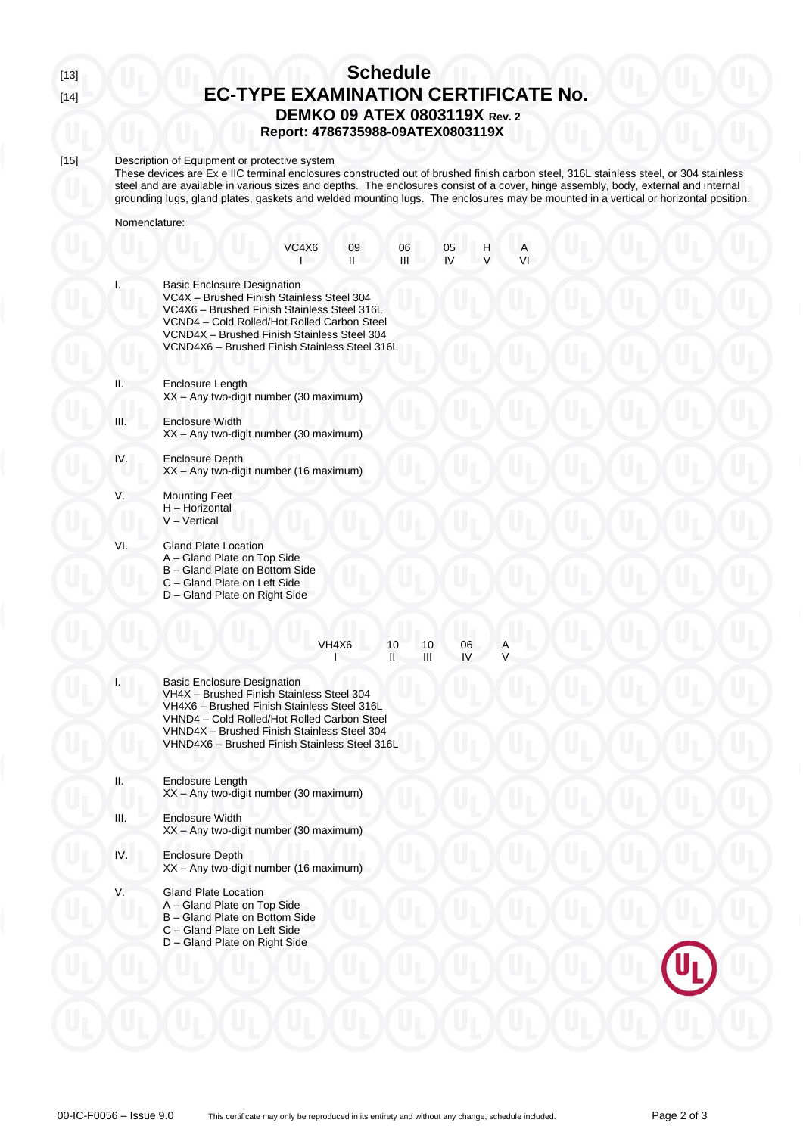# [13] **Schedule EC-TYPE EXAMINATION CERTIFICATE No. DEMKO 09 ATEX 0803119X Rev. 2**

**Report: 4786735988-09ATEX0803119X**

## [15] Description of Equipment or protective system

These devices are Ex e IIC terminal enclosures constructed out of brushed finish carbon steel, 316L stainless steel, or 304 stainless steel and are available in various sizes and depths. The enclosures consist of a cover, hinge assembly, body, external and internal grounding lugs, gland plates, gaskets and welded mounting lugs. The enclosures may be mounted in a vertical or horizontal position.

Nomenclature:

|     |                                                                                                                                                                                                                                                                               | VC4X6 | 09<br>Ш | 06<br>Ш |         | 05<br>IV | н | VI |
|-----|-------------------------------------------------------------------------------------------------------------------------------------------------------------------------------------------------------------------------------------------------------------------------------|-------|---------|---------|---------|----------|---|----|
| I.  | <b>Basic Enclosure Designation</b><br>VC4X - Brushed Finish Stainless Steel 304<br>VC4X6 - Brushed Finish Stainless Steel 316L<br>VCND4 - Cold Rolled/Hot Rolled Carbon Steel<br>VCND4X - Brushed Finish Stainless Steel 304<br>VCND4X6 - Brushed Finish Stainless Steel 316L |       |         |         |         |          |   |    |
| н.  | <b>Enclosure Length</b><br>XX - Any two-digit number (30 maximum)                                                                                                                                                                                                             |       |         |         |         |          |   |    |
| Ш.  | <b>Enclosure Width</b><br>XX - Any two-digit number (30 maximum)                                                                                                                                                                                                              |       |         |         |         |          |   |    |
| IV. | <b>Enclosure Depth</b><br>XX - Any two-digit number (16 maximum)                                                                                                                                                                                                              |       |         |         |         |          |   |    |
| V.  | <b>Mounting Feet</b><br>H - Horizontal<br>V - Vertical                                                                                                                                                                                                                        |       |         |         |         |          |   |    |
| VI. | Gland Plate Location<br>A – Gland Plate on Top Side<br>B - Gland Plate on Bottom Side<br>C - Gland Plate on Left Side<br>D - Gland Plate on Right Side                                                                                                                        |       |         |         |         |          |   |    |
|     |                                                                                                                                                                                                                                                                               |       | VH4X6   | 10<br>п | 10<br>Ш | 06<br>IV |   |    |
|     | <b>Basic Enclosure Designation</b><br>VH4X - Brushed Finish Stainless Steel 304<br>VH4X6 - Brushed Finish Stainless Steel 316L<br>VHND4 - Cold Rolled/Hot Rolled Carbon Steel<br>VHND4X - Brushed Finish Stainless Steel 304<br>VHND4X6 - Brushed Finish Stainless Steel 316L |       |         |         |         |          |   |    |
| Н.  | <b>Enclosure Length</b><br>XX - Any two-digit number (30 maximum)                                                                                                                                                                                                             |       |         |         |         |          |   |    |
| Ш.  | <b>Enclosure Width</b><br>XX - Any two-digit number (30 maximum)                                                                                                                                                                                                              |       |         |         |         |          |   |    |
| IV. | <b>Enclosure Depth</b><br>XX - Any two-digit number (16 maximum)                                                                                                                                                                                                              |       |         |         |         |          |   |    |
| V.  | <b>Gland Plate Location</b><br>A - Gland Plate on Top Side<br>B - Gland Plate on Bottom Side<br>C - Gland Plate on Left Side<br>D - Gland Plate on Right Side                                                                                                                 |       |         |         |         |          |   |    |